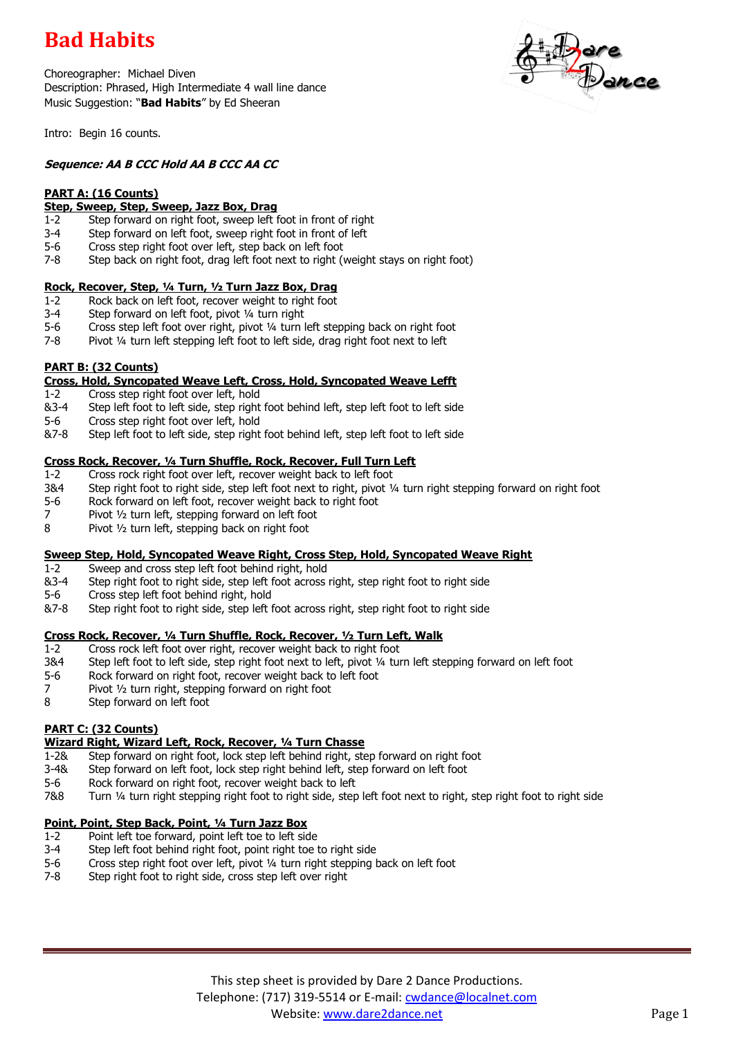# **Bad Habits**

Choreographer: Michael Diven Description: Phrased, High Intermediate 4 wall line dance Music Suggestion: "**Bad Habits**" by Ed Sheeran



Intro: Begin 16 counts.

## **Sequence: AA B CCC Hold AA B CCC AA CC**

## **PART A: (16 Counts)**

## **Step, Sweep, Step, Sweep, Jazz Box, Drag**

- 1-2 Step forward on right foot, sweep left foot in front of right
- 3-4 Step forward on left foot, sweep right foot in front of left
- 5-6 Cross step right foot over left, step back on left foot
- 7-8 Step back on right foot, drag left foot next to right (weight stays on right foot)

### **Rock, Recover, Step, ¼ Turn, ½ Turn Jazz Box, Drag**

- 1-2 Rock back on left foot, recover weight to right foot
- 3-4 Step forward on left foot, pivot ¼ turn right
- 5-6 Cross step left foot over right, pivot ¼ turn left stepping back on right foot
- 7-8 Pivot ¼ turn left stepping left foot to left side, drag right foot next to left

### **PART B: (32 Counts)**

### **Cross, Hold, Syncopated Weave Left, Cross, Hold, Syncopated Weave Lefft**

- 1-2 Cross step right foot over left, hold
- &3-4 Step left foot to left side, step right foot behind left, step left foot to left side
- 5-6 Cross step right foot over left, hold
- &7-8 Step left foot to left side, step right foot behind left, step left foot to left side

## **Cross Rock, Recover, ¼ Turn Shuffle, Rock, Recover, Full Turn Left**

- 1-2 Cross rock right foot over left, recover weight back to left foot
- 3&4 Step right foot to right side, step left foot next to right, pivot ¼ turn right stepping forward on right foot
- 5-6 Rock forward on left foot, recover weight back to right foot
- 7 Pivot 1/2 turn left, stepping forward on left foot
- 8 Pivot ½ turn left, stepping back on right foot

### **Sweep Step, Hold, Syncopated Weave Right, Cross Step, Hold, Syncopated Weave Right**

- 1-2 Sweep and cross step left foot behind right, hold
- &3-4 Step right foot to right side, step left foot across right, step right foot to right side
- 5-6 Cross step left foot behind right, hold
- &7-8 Step right foot to right side, step left foot across right, step right foot to right side

### **Cross Rock, Recover, ¼ Turn Shuffle, Rock, Recover, ½ Turn Left, Walk**

- 1-2 Cross rock left foot over right, recover weight back to right foot
- 3&4 Step left foot to left side, step right foot next to left, pivot ¼ turn left stepping forward on left foot
- 5-6 Rock forward on right foot, recover weight back to left foot
- 7 Pivot 1/2 turn right, stepping forward on right foot
- 8 Step forward on left foot

### **PART C: (32 Counts)**

### **Wizard Right, Wizard Left, Rock, Recover, ¼ Turn Chasse**

- 1-2& Step forward on right foot, lock step left behind right, step forward on right foot
- 3-4& Step forward on left foot, lock step right behind left, step forward on left foot
- 5-6 Rock forward on right foot, recover weight back to left
- 7&8 Turn ¼ turn right stepping right foot to right side, step left foot next to right, step right foot to right side

### **Point, Point, Step Back, Point, ¼ Turn Jazz Box**

- 1-2 Point left toe forward, point left toe to left side
- 3-4 Step left foot behind right foot, point right toe to right side
- 5-6 Cross step right foot over left, pivot ¼ turn right stepping back on left foot<br>7-8 Step right foot to right side, cross step left over right
- Step right foot to right side, cross step left over right